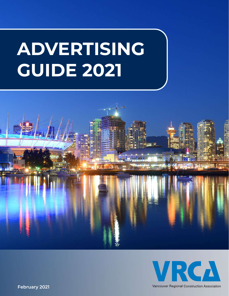# **ADVERTISING GUIDE 2021**





Vancouver Regional Construction Association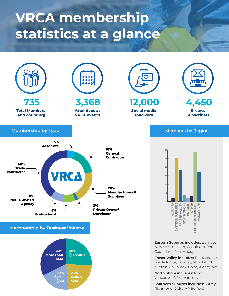### **VRCA membership statistics at a glance**

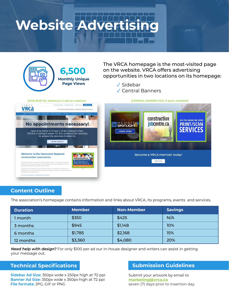## **Website Advertis**



#### **Content Outline**

The association's homepage contains information and links about VRCA, its programs, events and services.

| <b>Duration</b> | <b>Member</b> | Non-Member | <b>Savings</b> |
|-----------------|---------------|------------|----------------|
| l month         | \$350         | \$425      | N/A            |
| 3 months        | \$945         | \$1,148    | 10%            |
| 6 months        | \$1,785       | \$2,168    | 15%            |
| 12 months       | \$3,360       | \$4,080    | 20%            |

*Need help with design?* For only \$100 per ad our in-house designer and writers can assist in getting your message out.

#### **Technical Specifications**

**Sidebar Ad Size:** 350px wide x 250px high at 72 ppi **Banner Ad Size:** 350px wide x 350px high at 72 ppi **File formats:** JPG, GIF or PNG

#### **Submission Guidelines**

Submit your artwork by email to **marketing@vrca.ca** seven (7) days prior to insertion day.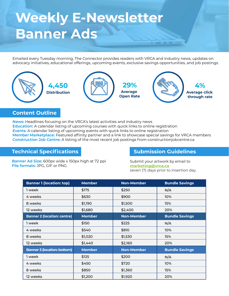### **Weekly E-Newsletter Banner Ads**

Emailed every Tuesday morning, The Connector provides readers with VRCA and industry news, updates on advocacy initiatives, educational offerings, upcoming events, exclusive savings opportunities, and job postings.



#### **Content Outline**

**News:** Headlines focusing on the VRCA's latest activities and industry news **Education:** A calendar listing of upcoming courses with quick links to online registration **Events:** A calendar listing of upcoming events with quick links to online registration **Member Marketplace:** Featured affinity partner and a link to showcase special savings for VRCA members **Construction Job Centre:** A listing of the most recent job postings from constructionjobcentre.ca

#### **Technical Specifications**

**Submission Guidelines**

**Banner Ad Size:** 600px wide x 150px high at 72 ppi **File formats:** JPG, GIF or PNG

Submit your artwork by email to **marketing@vrca.ca** seven (7) days prior to insertion day.

| <b>Banner 1 (location: top)</b>    | <b>Member</b> | <b>Non-Member</b> | <b>Bundle Savings</b> |
|------------------------------------|---------------|-------------------|-----------------------|
| 1 week                             | \$175         | \$250             | N/A                   |
| 4 weeks                            | \$630         | \$900             | 10%                   |
| 8 weeks                            | \$1,190       | \$1,500           | 15%                   |
| 12 weeks                           | \$1,680       | \$2,400           | 20%                   |
| <b>Banner 2 (location: centre)</b> | <b>Member</b> | <b>Non-Member</b> | <b>Bundle Savings</b> |
| 1 week                             | \$150         | \$225             | N/A                   |
| 4 weeks                            | \$540         | \$810             | 10%                   |
| 8 weeks                            | \$1,020       | \$1,530           | 15%                   |
| 12 weeks                           | \$1,440       | \$2,160           | 20%                   |
| <b>Banner 3 (location: bottom)</b> | <b>Member</b> | <b>Non-Member</b> | <b>Bundle Savings</b> |
| 1 week                             | \$125         | \$200             | N/A                   |
| 4 weeks                            | \$450         | \$720             | 10%                   |
| 8 weeks                            | \$850         | \$1,360           | 15%                   |
| 12 weeks                           | \$1,200       | \$1,920           | 20%                   |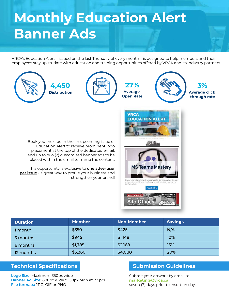### **Monthly Education Alert Banner Ads**

VRCA's Education Alert – issued on the last Thursday of every month – is designed to help members and their employees stay up-to-date with education and training opportunities offered by VRCA and its industry partners.



| <b>Duration</b> | <b>Member</b> | <b>Non-Member</b> | <b>Savings</b> |
|-----------------|---------------|-------------------|----------------|
| month           | \$350         | \$425             | N/A            |
| 3 months        | \$945         | \$1,148           | 10%            |
| 6 months        | \$1,785       | \$2,168           | 15%            |
| 12 months       | \$3,360       | \$4,080           | 20%            |

#### **Technical Specifications**

**Logo Size:** Maximum 350px wide **Banner Ad Size:** 600px wide x 150px high at 72 ppi **File formats:** JPG, GIF or PNG

#### **Submission Guidelines**

Submit your artwork by email to **marketing@vrca.ca** seven (7) days prior to insertion day.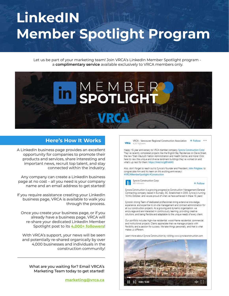## **LinkedIN Member Spotlight Program**

Let us be part of your marketing team! Join VRCA's LinkedIn Member Spotlight program a **complimentary service** available exclusively to VRCA members only.



#### **Here's How It Works**

A LinkedIn business page provides an excellent opportunity for companies to promote their products and services, share interesting and important news, recruit top talent, and stay connected within the industry.

Any company can create a LinkedIn business page at no cost – all you need is your company name and an email address to get started!

If you require assistance creating your LinkedIn business page, VRCA is available to walk you through the process.

Once you create your business page, or if you already have a business page, VRCA will re-share your dedicated LinkedIn Member Spotlight post to its **4,000+ followers**!

With VRCA's support, your news will be seen and potentially re-shared organically by over 4,000 businesses and individuals in the construction community!

What are you waiting for? Email VRCA's Marketing Team today to get started!

**marketing@vrca.ca**

VRCA - Vancouver Regional Construction Association + Follow \*\*\* **VRCA** 

Happy 15-year anniversary to VRCA member company Syncra Construction Corp! They've recently completed projects like the English Bay Residences on Davie Street, the new Tsleil-Waututh Nation Administration and Health Centre, and more! Click here to view the unique and diverse landmark buildings they've worked on and what's up next for them: https://inkd.in/g8FmKA5

Also, don't forget to reach out to Syncra's founder and President. John Polglase, to congratulate him and his team on this exciting anniversary! #VRCAMemberSpotlight #Construction



**Syncra Construction Corp** 

+ Follow

Syncra Construction is a growing progressive Construction Management/General Contracting company based in Burnaby, BC. Established in 2005, Syncra is turning 15 this October, and we are proud of what we have achieved in these 15 years!

Syncra's strong Team of dedicated professionals bring extensive knowledge, experience, and expertise to on-site management and contract administration for all our construction projects. As a growing and dynamic organization, we encourage and are interested in continuously learning, providing creative solutions, and being flexible and adaptable to the unique needs of every client.

Our portfolio includes high-rise residential, wood-frame residential, commercial and institutional projects. Clients appreciate that we manage projects with flexibility and a passion for success. We take things personally, and that is what makes us different.

Learn more about Syncra Construction by visiting www.syncraconstruction.com